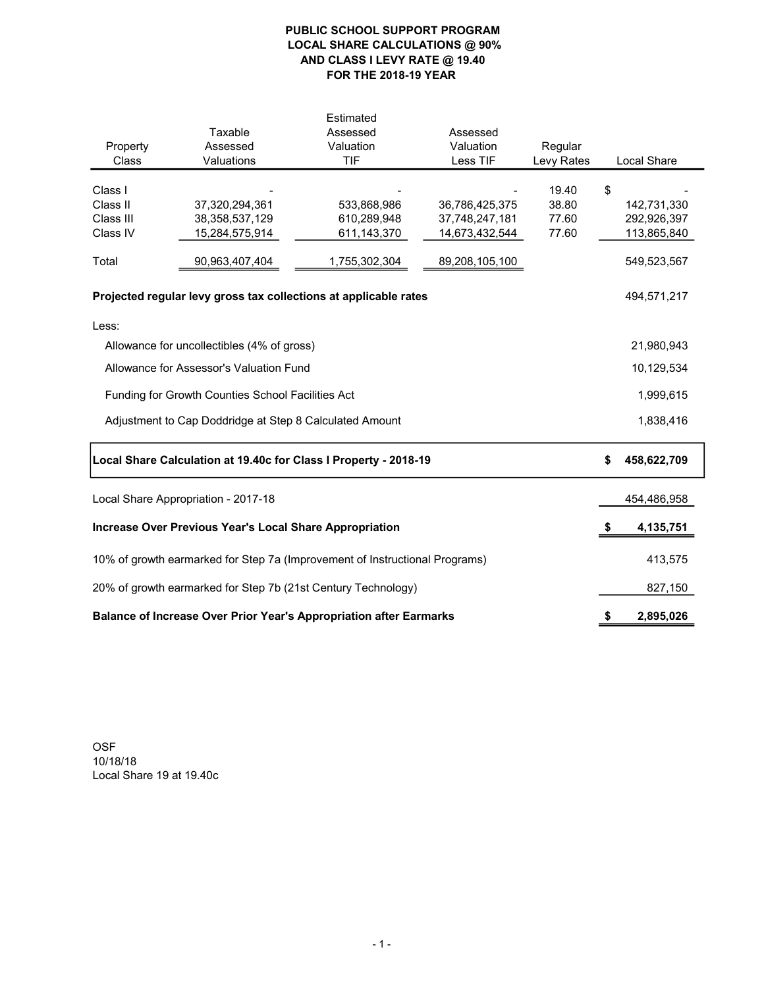# PUBLIC SCHOOL SUPPORT PROGRAM LOCAL SHARE CALCULATIONS @ 90% AND CLASS I LEVY RATE @ 19.40 FOR THE 2018-19 YEAR

| Property<br>Class                                                           | Taxable<br>Assessed<br>Valuations                                | Estimated<br>Assessed<br>Valuation<br><b>TIF</b> | Assessed<br>Valuation<br>Less TIF | Regular<br>Levy Rates |    | Local Share |
|-----------------------------------------------------------------------------|------------------------------------------------------------------|--------------------------------------------------|-----------------------------------|-----------------------|----|-------------|
| Class I                                                                     |                                                                  |                                                  |                                   | 19.40                 | \$ |             |
| Class II                                                                    | 37,320,294,361                                                   | 533,868,986                                      | 36,786,425,375                    | 38.80                 |    | 142,731,330 |
| Class III                                                                   | 38, 358, 537, 129                                                | 610,289,948                                      | 37,748,247,181                    | 77.60                 |    | 292,926,397 |
| Class IV                                                                    | 15,284,575,914                                                   | 611,143,370                                      | 14,673,432,544                    | 77.60                 |    | 113,865,840 |
| Total                                                                       | 90,963,407,404                                                   | 1,755,302,304                                    | 89,208,105,100                    |                       |    | 549,523,567 |
|                                                                             | Projected regular levy gross tax collections at applicable rates |                                                  |                                   |                       |    | 494,571,217 |
| Less:                                                                       |                                                                  |                                                  |                                   |                       |    |             |
| Allowance for uncollectibles (4% of gross)                                  |                                                                  |                                                  |                                   |                       |    | 21,980,943  |
| Allowance for Assessor's Valuation Fund                                     |                                                                  |                                                  |                                   |                       |    | 10,129,534  |
|                                                                             |                                                                  |                                                  |                                   |                       |    |             |
|                                                                             | Funding for Growth Counties School Facilities Act                |                                                  |                                   |                       |    | 1,999,615   |
|                                                                             | Adjustment to Cap Doddridge at Step 8 Calculated Amount          |                                                  |                                   |                       |    | 1,838,416   |
| Local Share Calculation at 19.40c for Class I Property - 2018-19            | \$                                                               | 458,622,709                                      |                                   |                       |    |             |
| Local Share Appropriation - 2017-18                                         |                                                                  |                                                  |                                   |                       |    | 454,486,958 |
| <b>Increase Over Previous Year's Local Share Appropriation</b>              |                                                                  |                                                  |                                   |                       |    | 4,135,751   |
| 10% of growth earmarked for Step 7a (Improvement of Instructional Programs) |                                                                  |                                                  |                                   |                       |    | 413,575     |
| 20% of growth earmarked for Step 7b (21st Century Technology)               |                                                                  |                                                  |                                   |                       |    | 827,150     |
| Balance of Increase Over Prior Year's Appropriation after Earmarks          |                                                                  |                                                  |                                   |                       |    | 2,895,026   |

OSF 10/18/18 Local Share 19 at 19.40c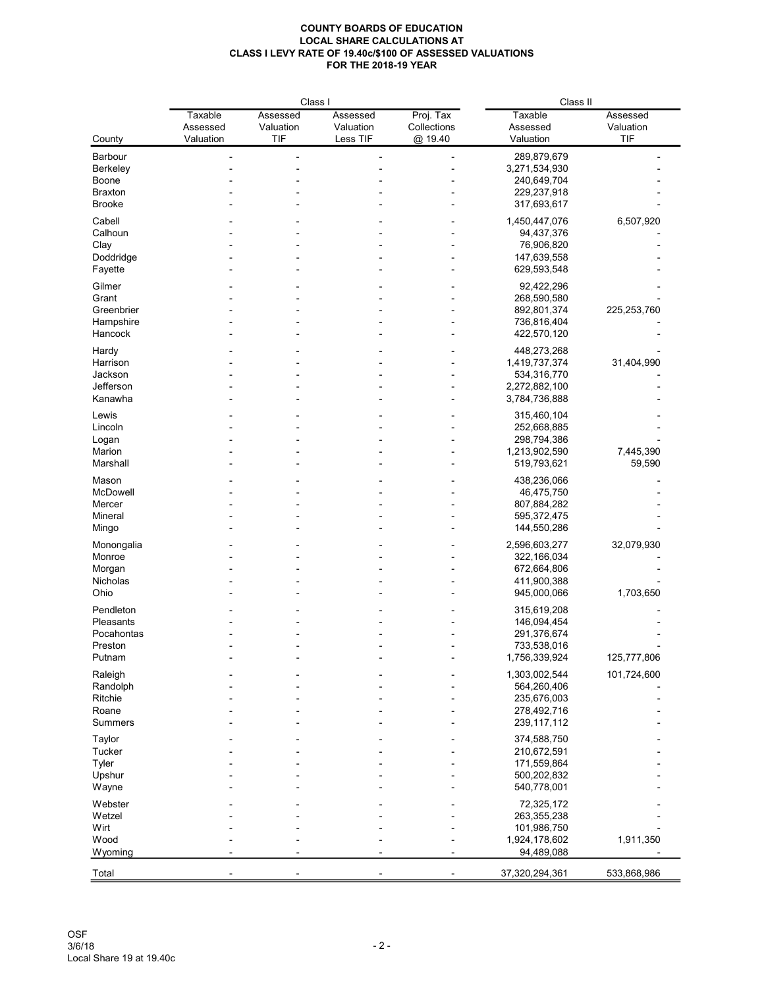|                     | Class I        |           |           | Class II    |                              |             |
|---------------------|----------------|-----------|-----------|-------------|------------------------------|-------------|
|                     | <b>Taxable</b> | Assessed  | Assessed  | Proj. Tax   | Taxable                      | Assessed    |
|                     | Assessed       | Valuation | Valuation | Collections | Assessed                     | Valuation   |
| County              | Valuation      | TIF       | Less TIF  | @ 19.40     | Valuation                    | TIF         |
| Barbour             |                |           |           |             | 289,879,679                  |             |
| Berkeley            |                |           |           |             | 3,271,534,930                |             |
| Boone               |                |           |           |             | 240,649,704                  |             |
| <b>Braxton</b>      |                |           |           |             | 229,237,918                  |             |
| <b>Brooke</b>       |                |           |           |             | 317,693,617                  |             |
|                     |                |           |           |             |                              |             |
| Cabell              |                |           |           |             | 1,450,447,076                | 6,507,920   |
| Calhoun             |                |           |           |             | 94,437,376                   |             |
| Clay                |                |           |           |             | 76,906,820                   |             |
| Doddridge           |                |           |           |             | 147,639,558                  |             |
| Fayette             |                |           |           |             | 629,593,548                  |             |
| Gilmer              |                |           |           |             | 92,422,296                   |             |
| Grant               |                |           |           |             | 268,590,580                  |             |
| Greenbrier          |                |           |           |             | 892,801,374                  | 225,253,760 |
| Hampshire           |                |           |           |             | 736,816,404                  |             |
| Hancock             |                |           |           |             | 422,570,120                  |             |
|                     |                |           |           |             |                              |             |
| Hardy               |                |           |           |             | 448,273,268<br>1,419,737,374 | 31,404,990  |
| Harrison<br>Jackson |                |           |           |             |                              |             |
| Jefferson           |                |           |           |             | 534,316,770<br>2,272,882,100 |             |
| Kanawha             |                |           |           |             |                              |             |
|                     |                |           |           |             | 3,784,736,888                |             |
| Lewis               |                |           |           |             | 315,460,104                  |             |
| Lincoln             |                |           |           |             | 252,668,885                  |             |
| Logan               |                |           |           |             | 298,794,386                  |             |
| Marion              |                |           |           |             | 1,213,902,590                | 7,445,390   |
| Marshall            |                |           |           |             | 519,793,621                  | 59,590      |
| Mason               |                |           |           |             | 438,236,066                  |             |
| McDowell            |                |           |           |             | 46,475,750                   |             |
| Mercer              |                |           |           |             | 807,884,282                  |             |
| Mineral             |                |           |           |             | 595,372,475                  |             |
|                     |                |           |           |             | 144,550,286                  |             |
| Mingo               |                |           |           |             |                              |             |
| Monongalia          |                |           |           |             | 2,596,603,277                | 32,079,930  |
| Monroe              |                |           |           |             | 322,166,034                  |             |
| Morgan              |                |           |           |             | 672,664,806                  |             |
| Nicholas            |                |           |           |             | 411,900,388                  |             |
| Ohio                |                |           |           |             | 945,000,066                  | 1,703,650   |
| Pendleton           |                |           |           |             | 315,619,208                  |             |
| Pleasants           |                |           |           |             | 146,094,454                  |             |
| Pocahontas          |                |           |           |             | 291,376,674                  |             |
| Preston             |                |           |           |             | 733,538,016                  |             |
| Putnam              |                |           |           |             | 1,756,339,924                | 125,777,806 |
|                     |                |           |           |             |                              |             |
| Raleigh             |                |           |           |             | 1,303,002,544                | 101,724,600 |
| Randolph            |                |           |           |             | 564,260,406                  |             |
| Ritchie             |                |           |           |             | 235,676,003                  |             |
| Roane               |                |           |           |             | 278,492,716                  |             |
| Summers             |                |           |           |             | 239, 117, 112                |             |
| Taylor              |                |           |           |             | 374,588,750                  |             |
| Tucker              |                |           |           |             | 210,672,591                  |             |
| Tyler               |                |           |           |             | 171,559,864                  |             |
| Upshur              |                |           |           |             | 500,202,832                  |             |
| Wayne               |                |           |           |             | 540,778,001                  |             |
| Webster             |                |           |           |             | 72,325,172                   |             |
| Wetzel              |                |           |           |             | 263,355,238                  |             |
| Wirt                |                |           |           |             | 101,986,750                  |             |
| Wood                |                |           |           |             | 1,924,178,602                |             |
| Wyoming             |                |           |           |             | 94,489,088                   | 1,911,350   |
|                     |                |           |           |             |                              |             |
| Total               |                |           |           |             | 37,320,294,361               | 533,868,986 |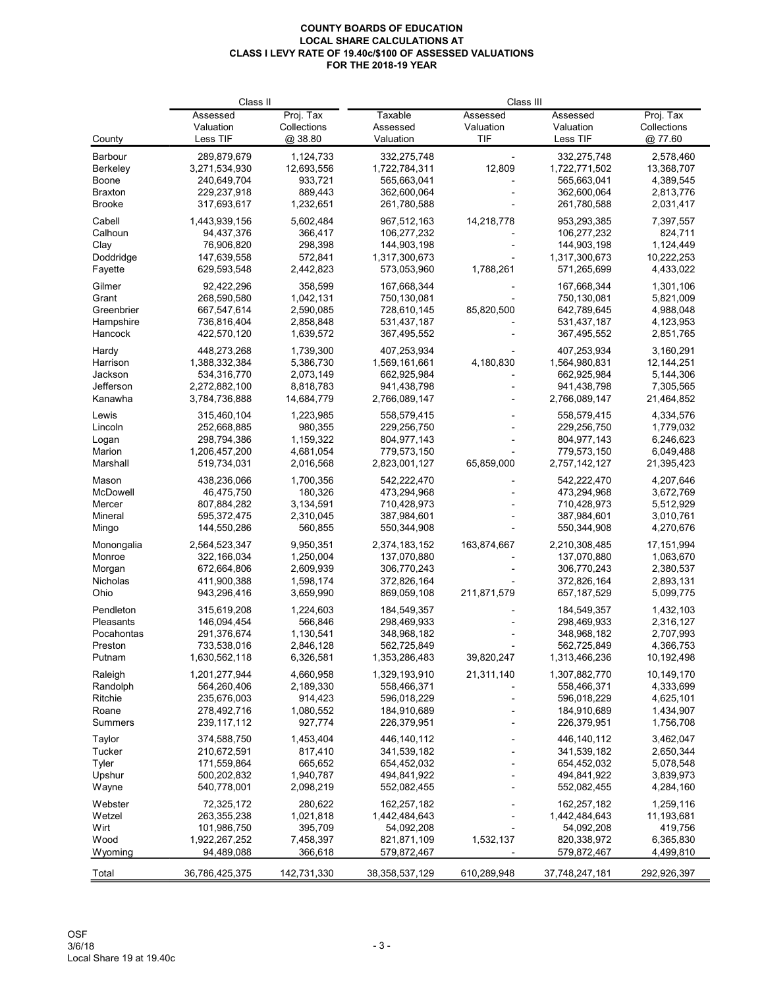|                 | Class II                     |                        | Class III                    |                |                              |                         |
|-----------------|------------------------------|------------------------|------------------------------|----------------|------------------------------|-------------------------|
|                 | Assessed                     | Proj. Tax              | Taxable                      | Assessed       | Assessed                     | Proj. Tax               |
|                 | Valuation                    | Collections            | Assessed                     | Valuation      | Valuation                    | Collections             |
| County          | Less TIF                     | @38.80                 | Valuation                    | TIF            | Less TIF                     | @.77.60                 |
| Barbour         | 289,879,679                  | 1,124,733              | 332,275,748                  |                | 332,275,748                  | 2,578,460               |
| Berkeley        | 3,271,534,930                | 12,693,556             | 1,722,784,311                | 12,809         | 1,722,771,502                | 13,368,707              |
| Boone           | 240,649,704                  | 933,721                | 565,663,041                  |                | 565,663,041                  | 4,389,545               |
| <b>Braxton</b>  | 229,237,918                  | 889,443                | 362,600,064                  |                | 362,600,064                  | 2,813,776               |
| <b>Brooke</b>   | 317,693,617                  | 1,232,651              | 261,780,588                  |                | 261,780,588                  | 2,031,417               |
| Cabell          | 1,443,939,156                | 5.602.484              | 967,512,163                  | 14,218,778     | 953,293,385                  | 7,397,557               |
| Calhoun         | 94,437,376                   | 366,417                | 106,277,232                  |                | 106,277,232                  | 824,711                 |
| Clay            | 76,906,820                   | 298,398                | 144,903,198                  |                | 144,903,198                  | 1,124,449               |
| Doddridge       | 147,639,558                  | 572,841                | 1,317,300,673                |                | 1,317,300,673                | 10,222,253              |
| Fayette         | 629,593,548                  | 2,442,823              | 573,053,960                  | 1,788,261      | 571,265,699                  | 4,433,022               |
|                 |                              |                        |                              |                |                              |                         |
| Gilmer          | 92,422,296                   | 358,599                | 167,668,344                  |                | 167,668,344                  | 1,301,106               |
| Grant           | 268,590,580                  | 1,042,131              | 750,130,081                  |                | 750,130,081                  | 5,821,009               |
| Greenbrier      | 667,547,614                  | 2,590,085              | 728,610,145                  | 85,820,500     | 642,789,645                  | 4,988,048               |
| Hampshire       | 736,816,404                  | 2,858,848              | 531,437,187                  |                | 531,437,187                  | 4,123,953               |
| Hancock         | 422,570,120                  | 1,639,572              | 367,495,552                  |                | 367,495,552                  | 2,851,765               |
| Hardy           | 448,273,268                  | 1,739,300              | 407,253,934                  |                | 407,253,934                  | 3,160,291               |
| Harrison        | 1,388,332,384                | 5,386,730              | 1,569,161,661                | 4,180,830      | 1,564,980,831                | 12,144,251              |
| Jackson         | 534,316,770                  | 2,073,149              | 662,925,984                  |                | 662,925,984                  | 5,144,306               |
| Jefferson       | 2,272,882,100                | 8,818,783              | 941,438,798                  |                | 941,438,798                  | 7,305,565               |
| Kanawha         | 3,784,736,888                | 14,684,779             | 2,766,089,147                |                | 2,766,089,147                | 21,464,852              |
| Lewis           | 315,460,104                  | 1,223,985              | 558,579,415                  |                | 558,579,415                  | 4,334,576               |
| Lincoln         | 252,668,885                  | 980,355                | 229,256,750                  |                | 229,256,750                  | 1,779,032               |
|                 | 298,794,386                  | 1,159,322              | 804,977,143                  |                |                              | 6,246,623               |
| Logan<br>Marion |                              |                        |                              |                | 804,977,143                  |                         |
| Marshall        | 1,206,457,200<br>519,734,031 | 4,681,054<br>2,016,568 | 779,573,150<br>2,823,001,127 | 65,859,000     | 779,573,150<br>2,757,142,127 | 6,049,488<br>21,395,423 |
|                 |                              |                        |                              |                |                              |                         |
| Mason           | 438,236,066                  | 1,700,356              | 542,222,470                  |                | 542,222,470                  | 4,207,646               |
| McDowell        | 46,475,750                   | 180,326                | 473,294,968                  |                | 473,294,968                  | 3,672,769               |
| Mercer          | 807,884,282                  | 3,134,591              | 710,428,973                  |                | 710,428,973                  | 5,512,929               |
| Mineral         | 595,372,475                  | 2,310,045              | 387,984,601                  |                | 387,984,601                  | 3,010,761               |
| Mingo           | 144,550,286                  | 560,855                | 550,344,908                  |                | 550,344,908                  | 4,270,676               |
| Monongalia      | 2,564,523,347                | 9,950,351              | 2,374,183,152                | 163,874,667    | 2,210,308,485                | 17,151,994              |
| Monroe          | 322,166,034                  | 1,250,004              | 137,070,880                  |                | 137,070,880                  | 1,063,670               |
| Morgan          | 672,664,806                  | 2,609,939              | 306,770,243                  |                | 306,770,243                  | 2,380,537               |
| Nicholas        | 411,900,388                  | 1,598,174              | 372,826,164                  |                | 372,826,164                  | 2,893,131               |
| Ohio            | 943,296,416                  | 3,659,990              | 869,059,108                  | 211,871,579    | 657, 187, 529                | 5,099,775               |
| Pendleton       | 315,619,208                  | 1,224,603              | 184,549,357                  |                | 184,549,357                  | 1,432,103               |
| Pleasants       | 146,094,454                  | 566,846                | 298,469,933                  |                | 298,469,933                  | 2,316,127               |
| Pocahontas      | 291,376,674                  | 1,130,541              | 348,968,182                  |                | 348,968,182                  | 2,707,993               |
| Preston         | 733,538,016                  | 2,846,128              | 562,725,849                  |                | 562,725,849                  | 4,366,753               |
| Putnam          | 1,630,562,118                | 6,326,581              | 1,353,286,483                | 39,820,247     | 1,313,466,236                | 10,192,498              |
|                 |                              |                        |                              |                |                              |                         |
| Raleigh         | 1,201,277,944                | 4,660,958              | 1,329,193,910                | 21,311,140     | 1,307,882,770                | 10,149,170              |
| Randolph        | 564,260,406                  | 2,189,330              | 558,466,371                  |                | 558,466,371                  | 4,333,699               |
| Ritchie         | 235,676,003                  | 914,423                | 596,018,229                  | ۰              | 596,018,229                  | 4,625,101               |
| Roane           | 278,492,716                  | 1,080,552              | 184,910,689                  |                | 184,910,689                  | 1,434,907               |
| Summers         | 239,117,112                  | 927,774                | 226,379,951                  |                | 226,379,951                  | 1,756,708               |
| Taylor          | 374,588,750                  | 1,453,404              | 446,140,112                  |                | 446, 140, 112                | 3,462,047               |
| Tucker          | 210,672,591                  | 817,410                | 341,539,182                  |                | 341,539,182                  | 2,650,344               |
| Tyler           | 171,559,864                  | 665,652                | 654,452,032                  |                | 654,452,032                  | 5,078,548               |
| Upshur          | 500,202,832                  | 1,940,787              | 494,841,922                  |                | 494,841,922                  | 3,839,973               |
| Wayne           | 540,778,001                  | 2,098,219              | 552,082,455                  |                | 552,082,455                  | 4,284,160               |
| Webster         | 72,325,172                   | 280,622                | 162,257,182                  |                | 162,257,182                  | 1,259,116               |
| Wetzel          | 263,355,238                  | 1,021,818              | 1,442,484,643                | $\overline{a}$ | 1,442,484,643                | 11,193,681              |
| Wirt            | 101,986,750                  | 395,709                | 54,092,208                   |                | 54,092,208                   | 419,756                 |
| Wood            | 1,922,267,252                | 7,458,397              | 821,871,109                  | 1,532,137      | 820,338,972                  | 6,365,830               |
| Wyoming         | 94,489,088                   | 366,618                | 579,872,467                  |                | 579,872,467                  | 4,499,810               |
|                 |                              |                        |                              |                |                              |                         |
| Total           | 36,786,425,375               | 142,731,330            | 38, 358, 537, 129            | 610,289,948    | 37,748,247,181               | 292,926,397             |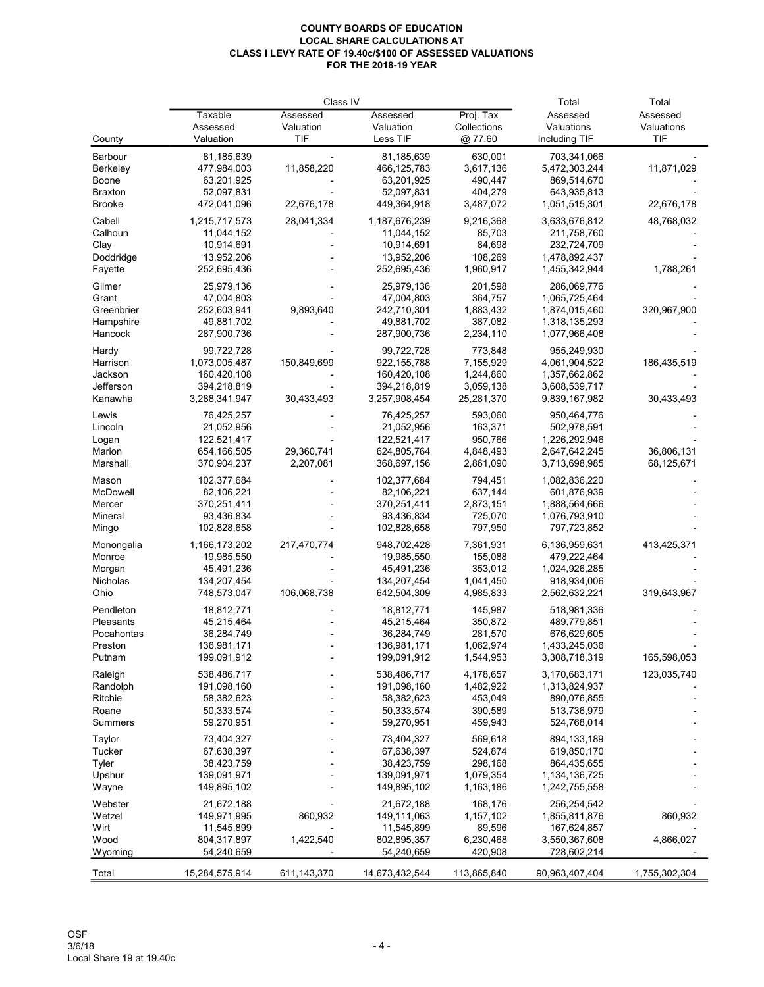|                      |                              | Class IV    | Total                        | Total                   |                                |               |
|----------------------|------------------------------|-------------|------------------------------|-------------------------|--------------------------------|---------------|
|                      | Taxable                      | Assessed    | Assessed                     | Proj. Tax               | Assessed                       | Assessed      |
|                      | Assessed                     | Valuation   | Valuation                    | Collections             | Valuations                     | Valuations    |
| County               | Valuation                    | TIF         | Less TIF                     | @ 77.60                 | Including TIF                  | TIF           |
| Barbour              | 81,185,639                   |             | 81,185,639                   | 630,001                 | 703,341,066                    |               |
| Berkeley             | 477,984,003                  | 11,858,220  | 466, 125, 783                | 3,617,136               | 5,472,303,244                  | 11,871,029    |
| Boone                | 63,201,925                   |             | 63,201,925                   | 490.447                 | 869,514,670                    |               |
| <b>Braxton</b>       | 52,097,831                   |             | 52,097,831                   | 404,279                 | 643,935,813                    |               |
| <b>Brooke</b>        | 472,041,096                  | 22,676,178  | 449,364,918                  | 3,487,072               | 1,051,515,301                  | 22,676,178    |
| Cabell               | 1,215,717,573                | 28,041,334  | 1,187,676,239                | 9,216,368               | 3,633,676,812                  | 48,768,032    |
| Calhoun              | 11,044,152                   |             | 11,044,152                   | 85,703                  | 211,758,760                    |               |
| Clay                 | 10,914,691                   |             | 10,914,691                   | 84,698                  | 232,724,709                    |               |
| Doddridge            | 13,952,206                   |             | 13,952,206                   | 108,269                 | 1,478,892,437                  |               |
| Fayette              | 252,695,436                  |             | 252,695,436                  | 1,960,917               | 1,455,342,944                  | 1,788,261     |
| Gilmer               | 25,979,136                   |             | 25,979,136                   | 201,598                 | 286,069,776                    |               |
| Grant                | 47,004,803                   |             | 47,004,803                   | 364,757                 | 1,065,725,464                  |               |
| Greenbrier           | 252,603,941                  | 9,893,640   | 242,710,301                  | 1,883,432               | 1,874,015,460                  | 320,967,900   |
| Hampshire            | 49,881,702                   |             | 49,881,702                   | 387,082                 | 1,318,135,293                  |               |
| Hancock              | 287,900,736                  |             | 287,900,736                  | 2,234,110               | 1,077,966,408                  |               |
|                      |                              |             |                              |                         |                                |               |
| Hardy                | 99,722,728                   |             | 99,722,728                   | 773,848                 | 955.249.930                    |               |
| Harrison             | 1,073,005,487                | 150,849,699 | 922, 155, 788                | 7,155,929               | 4,061,904,522                  | 186,435,519   |
| Jackson              | 160,420,108                  |             | 160,420,108                  | 1,244,860               | 1,357,662,862                  |               |
| Jefferson<br>Kanawha | 394,218,819<br>3,288,341,947 | 30,433,493  | 394,218,819<br>3,257,908,454 | 3,059,138<br>25,281,370 | 3,608,539,717<br>9,839,167,982 | 30,433,493    |
|                      |                              |             |                              |                         |                                |               |
| Lewis                | 76,425,257                   |             | 76,425,257                   | 593,060                 | 950,464,776                    |               |
| Lincoln              | 21,052,956                   |             | 21,052,956                   | 163,371                 | 502,978,591                    |               |
| Logan                | 122,521,417                  |             | 122,521,417                  | 950,766                 | 1,226,292,946                  |               |
| Marion               | 654,166,505                  | 29,360,741  | 624,805,764                  | 4,848,493               | 2,647,642,245                  | 36,806,131    |
| Marshall             | 370,904,237                  | 2,207,081   | 368,697,156                  | 2,861,090               | 3,713,698,985                  | 68,125,671    |
| Mason                | 102,377,684                  |             | 102,377,684                  | 794,451                 | 1,082,836,220                  |               |
| McDowell             | 82,106,221                   |             | 82,106,221                   | 637,144                 | 601,876,939                    |               |
| Mercer               | 370,251,411                  |             | 370,251,411                  | 2,873,151               | 1,888,564,666                  |               |
| Mineral              | 93,436,834                   |             | 93,436,834                   | 725,070                 | 1,076,793,910                  |               |
| Mingo                | 102,828,658                  |             | 102,828,658                  | 797,950                 | 797,723,852                    |               |
| Monongalia           | 1,166,173,202                | 217,470,774 | 948,702,428                  | 7,361,931               | 6,136,959,631                  | 413,425,371   |
| Monroe               | 19,985,550                   |             | 19,985,550                   | 155,088                 | 479,222,464                    |               |
| Morgan               | 45,491,236                   |             | 45,491,236                   | 353,012                 | 1,024,926,285                  |               |
| Nicholas             | 134,207,454                  |             | 134,207,454                  | 1,041,450               | 918,934,006                    |               |
| Ohio                 | 748,573,047                  | 106,068,738 | 642,504,309                  | 4,985,833               | 2,562,632,221                  | 319,643,967   |
| Pendleton            | 18,812,771                   |             | 18,812,771                   | 145,987                 | 518,981,336                    |               |
| Pleasants            | 45,215,464                   |             | 45,215,464                   | 350,872                 | 489,779,851                    |               |
| Pocahontas           | 36,284,749                   |             | 36,284,749                   | 281,570                 | 676,629,605                    |               |
| Preston              | 136,981,171                  |             | 136,981,171                  | 1,062,974               | 1,433,245,036                  |               |
| Putnam               | 199,091,912                  |             | 199,091,912                  | 1,544,953               | 3,308,718,319                  | 165,598,053   |
| Raleigh              | 538,486,717                  |             | 538,486,717                  | 4,178,657               | 3,170,683,171                  | 123,035,740   |
| Randolph             | 191,098,160                  |             | 191,098,160                  | 1,482,922               | 1,313,824,937                  |               |
| Ritchie              | 58,382,623                   |             | 58,382,623                   | 453,049                 | 890,076,855                    |               |
| Roane                | 50,333,574                   |             | 50,333,574                   | 390,589                 | 513,736,979                    |               |
| Summers              | 59,270,951                   |             | 59,270,951                   | 459,943                 | 524,768,014                    |               |
| Taylor               | 73,404,327                   |             | 73,404,327                   | 569,618                 | 894, 133, 189                  |               |
| Tucker               | 67,638,397                   |             | 67,638,397                   | 524,874                 | 619,850,170                    |               |
| Tyler                | 38,423,759                   |             | 38,423,759                   | 298,168                 | 864,435,655                    |               |
| Upshur               | 139,091,971                  |             | 139,091,971                  | 1,079,354               | 1,134,136,725                  |               |
| Wayne                | 149,895,102                  |             | 149,895,102                  | 1,163,186               | 1,242,755,558                  |               |
|                      |                              |             |                              |                         |                                |               |
| Webster              | 21,672,188                   |             | 21,672,188                   | 168,176                 | 256,254,542                    |               |
| Wetzel               | 149,971,995                  | 860,932     | 149,111,063                  | 1,157,102               | 1,855,811,876                  | 860,932       |
| Wirt                 | 11,545,899                   |             | 11,545,899                   | 89,596                  | 167,624,857                    |               |
| Wood<br>Wyoming      | 804,317,897<br>54,240,659    | 1,422,540   | 802,895,357<br>54,240,659    | 6,230,468<br>420,908    | 3,550,367,608<br>728,602,214   | 4,866,027     |
|                      |                              |             |                              |                         |                                |               |
| Total                | 15,284,575,914               | 611,143,370 | 14,673,432,544               | 113,865,840             | 90,963,407,404                 | 1,755,302,304 |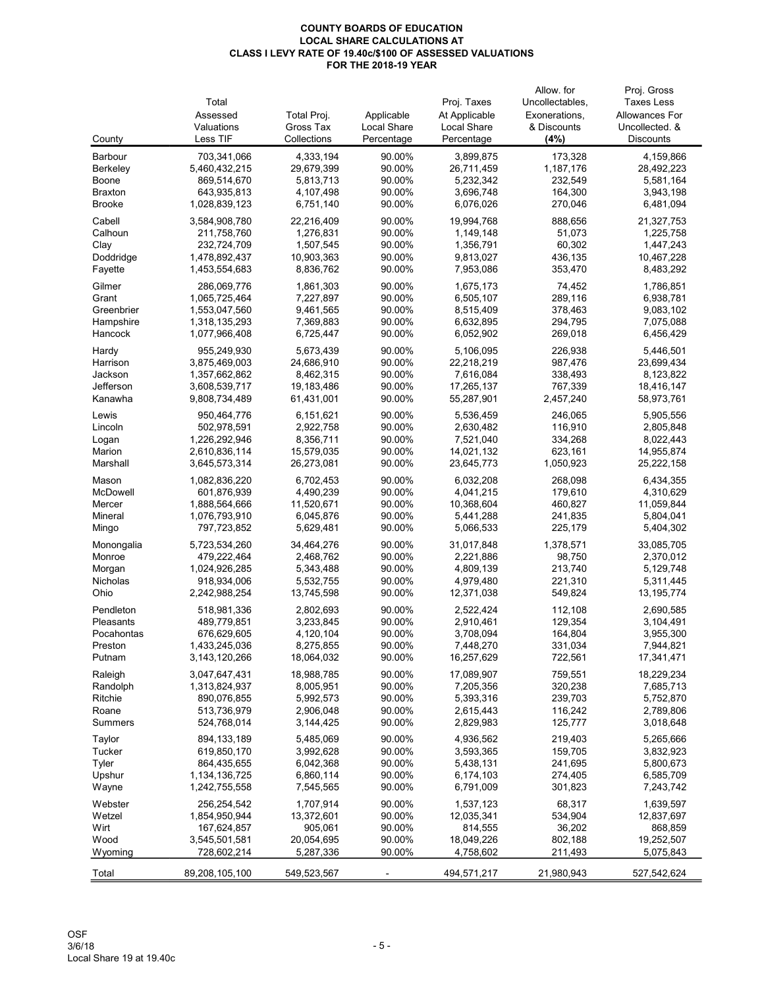|                      |                                |                         |                  |                         | Allow, for         | Proj. Gross             |
|----------------------|--------------------------------|-------------------------|------------------|-------------------------|--------------------|-------------------------|
|                      | Total                          |                         |                  | Proj. Taxes             | Uncollectables,    | <b>Taxes Less</b>       |
|                      | Assessed                       | Total Proj.             | Applicable       | At Applicable           | Exonerations,      | Allowances For          |
|                      | Valuations                     | Gross Tax               | Local Share      | <b>Local Share</b>      | & Discounts        | Uncollected, &          |
| County               | Less TIF                       | Collections             | Percentage       | Percentage              | (4%)               | <b>Discounts</b>        |
| Barbour              | 703,341,066                    | 4,333,194               | 90.00%           | 3,899,875               | 173,328            | 4,159,866               |
| Berkeley             | 5,460,432,215                  | 29,679,399              | 90.00%           | 26,711,459              | 1,187,176          | 28,492,223              |
| Boone                | 869,514,670                    | 5,813,713               | 90.00%           | 5,232,342               | 232,549            | 5,581,164               |
| <b>Braxton</b>       | 643,935,813                    | 4,107,498               | 90.00%           | 3,696,748               | 164,300            | 3,943,198               |
| <b>Brooke</b>        | 1,028,839,123                  | 6,751,140               | 90.00%           | 6,076,026               | 270,046            | 6,481,094               |
| Cabell               | 3,584,908,780                  | 22,216,409              | 90.00%           | 19,994,768              | 888,656            | 21,327,753              |
| Calhoun              | 211,758,760                    | 1,276,831               | 90.00%           | 1,149,148               | 51,073             | 1,225,758               |
| Clay                 | 232,724,709                    | 1,507,545               | 90.00%           | 1,356,791               | 60,302             | 1,447,243               |
| Doddridge            | 1,478,892,437                  | 10,903,363              | 90.00%           | 9,813,027               | 436,135            | 10,467,228              |
| Fayette              | 1,453,554,683                  | 8,836,762               | 90.00%           | 7,953,086               | 353,470            | 8,483,292               |
| Gilmer               | 286,069,776                    | 1,861,303               | 90.00%           | 1,675,173               | 74,452             | 1,786,851               |
| Grant                | 1,065,725,464                  | 7,227,897               | 90.00%           | 6,505,107               | 289,116            | 6,938,781               |
| Greenbrier           | 1,553,047,560                  | 9,461,565               | 90.00%           | 8,515,409               | 378,463            | 9,083,102               |
| Hampshire            | 1,318,135,293                  | 7,369,883               | 90.00%           | 6,632,895               | 294,795            | 7,075,088               |
| Hancock              | 1,077,966,408                  | 6,725,447               | 90.00%           | 6,052,902               | 269,018            | 6,456,429               |
|                      |                                |                         |                  |                         |                    |                         |
| Hardy                | 955,249,930                    | 5,673,439               | 90.00%           | 5,106,095               | 226,938            | 5,446,501               |
| Harrison             | 3,875,469,003                  | 24,686,910              | 90.00%<br>90.00% | 22,218,219              | 987,476            | 23,699,434              |
| Jackson<br>Jefferson | 1,357,662,862                  | 8,462,315<br>19,183,486 | 90.00%           | 7,616,084<br>17,265,137 | 338,493<br>767,339 | 8,123,822<br>18,416,147 |
| Kanawha              | 3,608,539,717<br>9,808,734,489 | 61,431,001              | 90.00%           | 55,287,901              | 2,457,240          | 58,973,761              |
|                      |                                |                         |                  |                         |                    |                         |
| Lewis                | 950,464,776                    | 6,151,621               | 90.00%           | 5,536,459               | 246,065            | 5,905,556               |
| Lincoln              | 502,978,591                    | 2,922,758               | 90.00%           | 2,630,482               | 116,910            | 2,805,848               |
| Logan                | 1,226,292,946                  | 8,356,711               | 90.00%           | 7,521,040               | 334,268            | 8,022,443               |
| Marion               | 2,610,836,114                  | 15,579,035              | 90.00%           | 14,021,132              | 623,161            | 14,955,874              |
| Marshall             | 3,645,573,314                  | 26,273,081              | 90.00%           | 23,645,773              | 1,050,923          | 25,222,158              |
| Mason                | 1,082,836,220                  | 6,702,453               | 90.00%           | 6,032,208               | 268,098            | 6,434,355               |
| <b>McDowell</b>      | 601,876,939                    | 4,490,239               | 90.00%           | 4,041,215               | 179,610            | 4,310,629               |
| Mercer               | 1,888,564,666                  | 11,520,671              | 90.00%           | 10,368,604              | 460,827            | 11,059,844              |
| Mineral              | 1,076,793,910                  | 6,045,876               | 90.00%           | 5,441,288               | 241,835            | 5,804,041               |
| Mingo                | 797,723,852                    | 5,629,481               | 90.00%           | 5,066,533               | 225,179            | 5,404,302               |
| Monongalia           | 5,723,534,260                  | 34,464,276              | 90.00%           | 31,017,848              | 1,378,571          | 33,085,705              |
| Monroe               | 479,222,464                    | 2,468,762               | 90.00%           | 2,221,886               | 98,750             | 2,370,012               |
| Morgan               | 1,024,926,285                  | 5,343,488               | 90.00%           | 4,809,139               | 213,740            | 5,129,748               |
| Nicholas             | 918,934,006                    | 5,532,755               | 90.00%           | 4,979,480               | 221,310            | 5,311,445               |
| Ohio                 | 2,242,988,254                  | 13,745,598              | 90.00%           | 12,371,038              | 549,824            | 13, 195, 774            |
| Pendleton            | 518,981,336                    | 2,802,693               | 90.00%           | 2,522,424               | 112,108            | 2,690,585               |
| Pleasants            | 489,779,851                    | 3,233,845               | 90.00%           | 2,910,461               | 129,354            | 3,104,491               |
| Pocahontas           | 676,629,605                    | 4,120,104               | 90.00%           | 3,708,094               | 164,804            | 3,955,300               |
| Preston              | 1,433,245,036                  | 8,275,855               | 90.00%           | 7,448,270               | 331,034            | 7,944,821               |
| Putnam               | 3, 143, 120, 266               | 18,064,032              | 90.00%           | 16,257,629              | 722,561            | 17,341,471              |
| Raleigh              | 3,047,647,431                  | 18,988,785              | 90.00%           | 17,089,907              | 759,551            | 18,229,234              |
| Randolph             | 1,313,824,937                  | 8,005,951               | 90.00%           | 7,205,356               | 320,238            | 7,685,713               |
| Ritchie              | 890,076,855                    | 5,992,573               | 90.00%           | 5,393,316               | 239,703            | 5,752,870               |
| Roane                | 513,736,979                    | 2,906,048               | 90.00%           | 2,615,443               | 116,242            | 2,789,806               |
| Summers              | 524,768,014                    | 3,144,425               | 90.00%           | 2,829,983               | 125,777            | 3,018,648               |
|                      |                                |                         |                  |                         |                    |                         |
| Taylor<br>Tucker     | 894, 133, 189<br>619,850,170   | 5,485,069<br>3,992,628  | 90.00%<br>90.00% | 4,936,562<br>3,593,365  | 219,403<br>159,705 | 5,265,666<br>3,832,923  |
| Tyler                | 864,435,655                    | 6,042,368               | 90.00%           | 5,438,131               | 241,695            | 5,800,673               |
| Upshur               | 1,134,136,725                  | 6,860,114               | 90.00%           | 6,174,103               | 274,405            | 6,585,709               |
| Wayne                | 1,242,755,558                  | 7,545,565               | 90.00%           | 6,791,009               | 301,823            | 7,243,742               |
|                      |                                |                         |                  |                         |                    |                         |
| Webster              | 256,254,542                    | 1,707,914               | 90.00%           | 1,537,123               | 68,317             | 1,639,597               |
| Wetzel               | 1,854,950,944                  | 13,372,601              | 90.00%           | 12,035,341              | 534,904            | 12,837,697              |
| Wirt                 | 167,624,857                    | 905,061                 | 90.00%           | 814,555                 | 36,202             | 868,859                 |
| Wood                 | 3,545,501,581                  | 20,054,695              | 90.00%           | 18,049,226              | 802,188            | 19,252,507              |
| Wyoming              | 728,602,214                    | 5,287,336               | 90.00%           | 4,758,602               | 211,493            | 5,075,843               |
| Total                | 89,208,105,100                 | 549,523,567             |                  | 494,571,217             | 21,980,943         | 527,542,624             |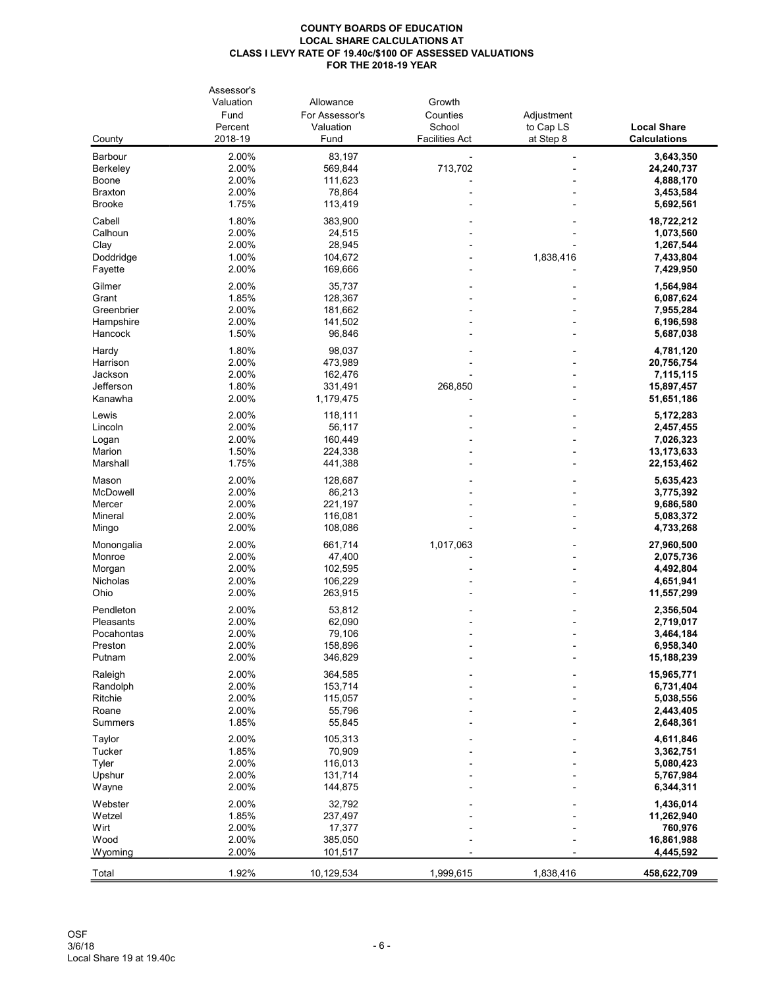|                         | Assessor's |                |                       |                |                     |
|-------------------------|------------|----------------|-----------------------|----------------|---------------------|
|                         | Valuation  | Allowance      | Growth                |                |                     |
|                         | Fund       | For Assessor's | Counties              | Adjustment     |                     |
|                         | Percent    | Valuation      | School                | to Cap LS      | <b>Local Share</b>  |
| County                  | 2018-19    | Fund           | <b>Facilities Act</b> | at Step 8      | <b>Calculations</b> |
| Barbour                 | 2.00%      | 83,197         |                       |                | 3,643,350           |
| Berkeley                | 2.00%      | 569,844        | 713,702               |                | 24,240,737          |
|                         | 2.00%      | 111,623        |                       |                |                     |
| Boone<br><b>Braxton</b> | 2.00%      | 78,864         |                       |                | 4,888,170           |
|                         |            |                |                       |                | 3,453,584           |
| <b>Brooke</b>           | 1.75%      | 113,419        |                       |                | 5,692,561           |
| Cabell                  | 1.80%      | 383,900        |                       |                | 18,722,212          |
| Calhoun                 | 2.00%      | 24,515         |                       |                | 1,073,560           |
| Clay                    | 2.00%      | 28,945         |                       |                | 1,267,544           |
| Doddridge               | 1.00%      | 104,672        |                       | 1,838,416      | 7,433,804           |
| Fayette                 | 2.00%      | 169,666        |                       |                | 7,429,950           |
|                         |            |                |                       |                |                     |
| Gilmer                  | 2.00%      | 35,737         |                       |                | 1,564,984           |
| Grant                   | 1.85%      | 128,367        |                       |                | 6,087,624           |
| Greenbrier              | 2.00%      | 181,662        |                       |                | 7,955,284           |
| Hampshire               | 2.00%      | 141,502        |                       |                | 6,196,598           |
| Hancock                 | 1.50%      | 96,846         |                       |                | 5,687,038           |
| Hardy                   | 1.80%      | 98,037         |                       |                | 4,781,120           |
| Harrison                | 2.00%      | 473,989        |                       |                | 20,756,754          |
| Jackson                 | 2.00%      | 162,476        |                       |                | 7,115,115           |
| Jefferson               | 1.80%      | 331,491        | 268,850               |                | 15,897,457          |
| Kanawha                 | 2.00%      | 1,179,475      |                       |                | 51,651,186          |
|                         |            |                |                       |                |                     |
| Lewis                   | 2.00%      | 118,111        |                       |                | 5,172,283           |
| Lincoln                 | 2.00%      | 56,117         |                       |                | 2,457,455           |
| Logan                   | 2.00%      | 160,449        |                       |                | 7,026,323           |
| Marion                  | 1.50%      | 224,338        |                       |                | 13,173,633          |
| Marshall                | 1.75%      | 441,388        |                       |                | 22, 153, 462        |
| Mason                   | 2.00%      | 128,687        |                       |                | 5,635,423           |
| McDowell                | 2.00%      | 86,213         |                       |                | 3,775,392           |
| Mercer                  | 2.00%      | 221,197        |                       |                | 9,686,580           |
|                         |            |                |                       |                |                     |
| Mineral                 | 2.00%      | 116,081        |                       |                | 5,083,372           |
| Mingo                   | 2.00%      | 108,086        |                       |                | 4,733,268           |
| Monongalia              | 2.00%      | 661,714        | 1,017,063             |                | 27,960,500          |
| Monroe                  | 2.00%      | 47,400         |                       |                | 2,075,736           |
| Morgan                  | 2.00%      | 102,595        |                       |                | 4,492,804           |
| Nicholas                | 2.00%      | 106,229        |                       |                | 4,651,941           |
| Ohio                    | 2.00%      | 263,915        |                       |                | 11,557,299          |
| Pendleton               | 2.00%      | 53,812         |                       |                | 2,356,504           |
| Pleasants               | 2.00%      | 62,090         |                       |                |                     |
|                         |            |                |                       |                | 2,719,017           |
| Pocahontas              | 2.00%      | 79,106         |                       |                | 3,464,184           |
| Preston                 | 2.00%      | 158,896        |                       | $\blacksquare$ | 6,958,340           |
| Putnam                  | 2.00%      | 346,829        |                       |                | 15,188,239          |
| Raleigh                 | 2.00%      | 364,585        |                       |                | 15,965,771          |
| Randolph                | 2.00%      | 153,714        |                       |                | 6,731,404           |
| Ritchie                 | 2.00%      | 115,057        |                       |                | 5,038,556           |
| Roane                   | 2.00%      | 55,796         |                       |                | 2,443,405           |
| <b>Summers</b>          | 1.85%      | 55,845         |                       |                | 2,648,361           |
|                         |            |                |                       |                |                     |
| Taylor                  | 2.00%      | 105,313        |                       |                | 4,611,846           |
| Tucker                  | 1.85%      | 70,909         |                       |                | 3,362,751           |
| Tyler                   | 2.00%      | 116,013        |                       |                | 5,080,423           |
| Upshur                  | 2.00%      | 131,714        |                       |                | 5,767,984           |
| Wayne                   | 2.00%      | 144,875        |                       |                | 6,344,311           |
| Webster                 | 2.00%      | 32,792         |                       |                | 1,436,014           |
| Wetzel                  | 1.85%      | 237,497        |                       |                | 11,262,940          |
| Wirt                    | 2.00%      | 17,377         |                       |                | 760,976             |
| Wood                    | 2.00%      | 385,050        |                       |                | 16,861,988          |
| Wyoming                 | 2.00%      | 101,517        |                       |                | 4,445,592           |
|                         |            |                |                       |                |                     |
| Total                   | 1.92%      | 10,129,534     | 1,999,615             | 1,838,416      | 458,622,709         |